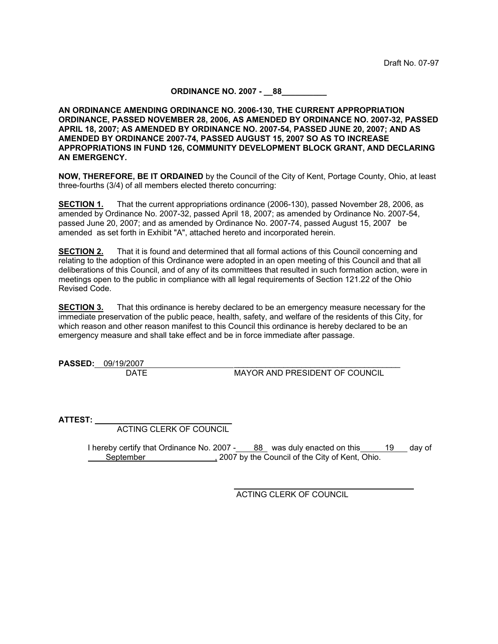## **ORDINANCE NO. 2007 - \_\_88\_\_\_\_\_\_\_\_\_\_**

**AN ORDINANCE AMENDING ORDINANCE NO. 2006-130, THE CURRENT APPROPRIATION ORDINANCE, PASSED NOVEMBER 28, 2006, AS AMENDED BY ORDINANCE NO. 2007-32, PASSED APRIL 18, 2007; AS AMENDED BY ORDINANCE NO. 2007-54, PASSED JUNE 20, 2007; AND AS AMENDED BY ORDINANCE 2007-74, PASSED AUGUST 15, 2007 SO AS TO INCREASE APPROPRIATIONS IN FUND 126, COMMUNITY DEVELOPMENT BLOCK GRANT, AND DECLARING AN EMERGENCY.**

**NOW, THEREFORE, BE IT ORDAINED** by the Council of the City of Kent, Portage County, Ohio, at least three-fourths (3/4) of all members elected thereto concurring:

**SECTION 1.** That the current appropriations ordinance (2006-130), passed November 28, 2006, as amended by Ordinance No. 2007-32, passed April 18, 2007; as amended by Ordinance No. 2007-54, passed June 20, 2007; and as amended by Ordinance No. 2007-74, passed August 15, 2007 be amended as set forth in Exhibit "A", attached hereto and incorporated herein.

**SECTION 2.** That it is found and determined that all formal actions of this Council concerning and relating to the adoption of this Ordinance were adopted in an open meeting of this Council and that all deliberations of this Council, and of any of its committees that resulted in such formation action, were in meetings open to the public in compliance with all legal requirements of Section 121.22 of the Ohio Revised Code.

**SECTION 3.** That this ordinance is hereby declared to be an emergency measure necessary for the immediate preservation of the public peace, health, safety, and welfare of the residents of this City, for which reason and other reason manifest to this Council this ordinance is hereby declared to be an emergency measure and shall take effect and be in force immediate after passage.

**PASSED:** 09/19/2007 \_\_\_\_\_\_\_\_\_\_\_\_\_\_\_\_\_\_\_\_\_\_\_\_\_\_\_\_\_\_\_\_\_\_\_\_\_ **MAYOR AND PRESIDENT OF COUNCIL** 

**ATTEST:** \_\_\_\_\_\_\_\_\_\_\_\_\_\_\_\_\_\_\_\_\_\_\_\_\_\_\_\_\_\_

ACTING CLERK OF COUNCIL

 I hereby certify that Ordinance No. 2007 - 88 was duly enacted on this 19 day of September 1.1 Collection 1.2007 by the Council of the City of Kent, Ohio.

ACTING CLERK OF COUNCIL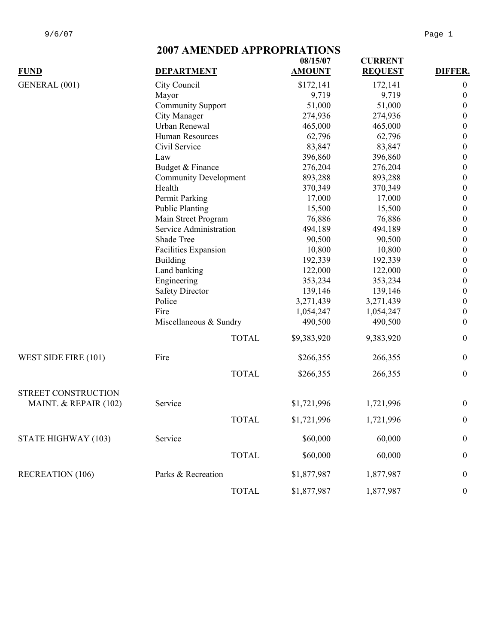## **2007 AMENDED APPROPRIATIONS**

|                       |                                          |                          | 08/15/07      | <b>CURRENT</b> |                  |  |
|-----------------------|------------------------------------------|--------------------------|---------------|----------------|------------------|--|
| <b>FUND</b>           | <b>DEPARTMENT</b>                        |                          | <b>AMOUNT</b> | <b>REQUEST</b> | DIFFER.          |  |
| GENERAL (001)         | City Council                             |                          | \$172,141     | 172,141        | $\boldsymbol{0}$ |  |
|                       | Mayor                                    |                          |               | 9,719          | $\boldsymbol{0}$ |  |
|                       |                                          | <b>Community Support</b> |               | 51,000         | $\boldsymbol{0}$ |  |
|                       | City Manager                             |                          | 274,936       | 274,936        | $\boldsymbol{0}$ |  |
|                       | Urban Renewal                            |                          | 465,000       | 465,000        | $\boldsymbol{0}$ |  |
|                       | Human Resources                          |                          | 62,796        | 62,796         | $\boldsymbol{0}$ |  |
|                       | Civil Service                            |                          | 83,847        | 83,847         | $\boldsymbol{0}$ |  |
|                       | Law                                      |                          | 396,860       | 396,860        | $\boldsymbol{0}$ |  |
|                       | Budget & Finance                         |                          | 276,204       | 276,204        | $\boldsymbol{0}$ |  |
|                       | <b>Community Development</b>             |                          | 893,288       | 893,288        | $\boldsymbol{0}$ |  |
|                       | Health                                   |                          | 370,349       | 370,349        | $\boldsymbol{0}$ |  |
|                       | Permit Parking                           |                          | 17,000        | 17,000         | $\boldsymbol{0}$ |  |
|                       | <b>Public Planting</b>                   |                          | 15,500        | 15,500         | $\boldsymbol{0}$ |  |
|                       | Main Street Program                      |                          | 76,886        | 76,886         | $\boldsymbol{0}$ |  |
|                       | Service Administration                   |                          | 494,189       | 494,189        | $\boldsymbol{0}$ |  |
|                       | Shade Tree                               |                          | 90,500        | 90,500         | $\boldsymbol{0}$ |  |
|                       | Facilities Expansion                     |                          | 10,800        | 10,800         | $\boldsymbol{0}$ |  |
|                       | <b>Building</b>                          |                          | 192,339       | 192,339        | $\boldsymbol{0}$ |  |
|                       | Land banking                             |                          | 122,000       | 122,000        | $\boldsymbol{0}$ |  |
|                       | Engineering                              |                          | 353,234       | 353,234        | $\boldsymbol{0}$ |  |
|                       | <b>Safety Director</b>                   |                          | 139,146       | 139,146        | $\boldsymbol{0}$ |  |
|                       | Police<br>Fire<br>Miscellaneous & Sundry |                          | 3,271,439     | 3,271,439      | $\boldsymbol{0}$ |  |
|                       |                                          |                          | 1,054,247     | 1,054,247      | $\boldsymbol{0}$ |  |
|                       |                                          |                          | 490,500       | 490,500        | $\boldsymbol{0}$ |  |
|                       |                                          | <b>TOTAL</b>             | \$9,383,920   | 9,383,920      | $\mathbf{0}$     |  |
| WEST SIDE FIRE (101)  | Fire                                     |                          | \$266,355     | 266,355        | $\boldsymbol{0}$ |  |
|                       |                                          | <b>TOTAL</b>             | \$266,355     | 266,355        | $\boldsymbol{0}$ |  |
| STREET CONSTRUCTION   |                                          |                          |               |                |                  |  |
| MAINT. & REPAIR (102) | Service                                  |                          | \$1,721,996   | 1,721,996      | $\boldsymbol{0}$ |  |
|                       |                                          | <b>TOTAL</b>             | \$1,721,996   | 1,721,996      | $\boldsymbol{0}$ |  |
| STATE HIGHWAY (103)   |                                          |                          |               |                |                  |  |
|                       | Service                                  |                          | \$60,000      | 60,000         | $\boldsymbol{0}$ |  |
|                       |                                          | <b>TOTAL</b>             | \$60,000      | 60,000         | $\boldsymbol{0}$ |  |
| RECREATION (106)      | Parks & Recreation                       |                          | \$1,877,987   | 1,877,987      | $\boldsymbol{0}$ |  |
|                       |                                          | <b>TOTAL</b>             | \$1,877,987   | 1,877,987      | $\boldsymbol{0}$ |  |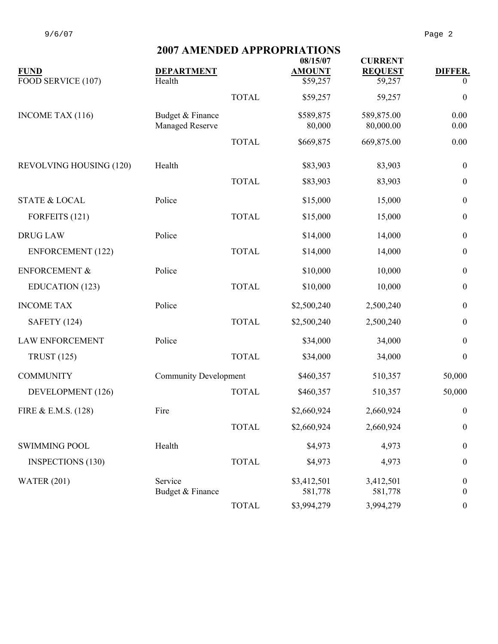|                          | 2007 AMERIJED ALI KULKIA HURS |              |                           |                                  |                  |  |  |
|--------------------------|-------------------------------|--------------|---------------------------|----------------------------------|------------------|--|--|
| <b>FUND</b>              | <b>DEPARTMENT</b>             |              | 08/15/07<br><b>AMOUNT</b> | <b>CURRENT</b><br><b>REQUEST</b> | <b>DIFFER.</b>   |  |  |
| FOOD SERVICE (107)       | Health                        |              | \$59,257                  | 59,257                           | $\theta$         |  |  |
|                          |                               | <b>TOTAL</b> | \$59,257                  | 59,257                           | $\boldsymbol{0}$ |  |  |
| INCOME TAX (116)         | Budget & Finance              |              | \$589,875                 | 589,875.00                       | 0.00             |  |  |
|                          | Managed Reserve               |              | 80,000                    | 80,000.00                        | 0.00             |  |  |
|                          |                               | <b>TOTAL</b> | \$669,875                 | 669,875.00                       | 0.00             |  |  |
| REVOLVING HOUSING (120)  | Health                        |              | \$83,903                  | 83,903                           | $\boldsymbol{0}$ |  |  |
|                          |                               | <b>TOTAL</b> | \$83,903                  | 83,903                           | $\boldsymbol{0}$ |  |  |
| <b>STATE &amp; LOCAL</b> | Police                        |              | \$15,000                  | 15,000                           | $\boldsymbol{0}$ |  |  |
| FORFEITS (121)           |                               | <b>TOTAL</b> | \$15,000                  | 15,000                           | $\boldsymbol{0}$ |  |  |
| <b>DRUG LAW</b>          | Police                        |              | \$14,000                  | 14,000                           | $\boldsymbol{0}$ |  |  |
| <b>ENFORCEMENT</b> (122) |                               | <b>TOTAL</b> | \$14,000                  | 14,000                           | $\boldsymbol{0}$ |  |  |
| <b>ENFORCEMENT &amp;</b> | Police                        |              | \$10,000                  | 10,000                           | $\boldsymbol{0}$ |  |  |
| EDUCATION (123)          |                               | <b>TOTAL</b> | \$10,000                  | 10,000                           | $\mathbf{0}$     |  |  |
| <b>INCOME TAX</b>        | Police                        |              | \$2,500,240               | 2,500,240                        | $\boldsymbol{0}$ |  |  |
| <b>SAFETY</b> (124)      |                               | <b>TOTAL</b> | \$2,500,240               | 2,500,240                        | $\mathbf{0}$     |  |  |
| <b>LAW ENFORCEMENT</b>   | Police                        |              | \$34,000                  | 34,000                           | $\mathbf{0}$     |  |  |
| <b>TRUST</b> (125)       |                               | <b>TOTAL</b> | \$34,000                  | 34,000                           | $\boldsymbol{0}$ |  |  |
| <b>COMMUNITY</b>         | <b>Community Development</b>  |              | \$460,357                 | 510,357                          | 50,000           |  |  |
| DEVELOPMENT (126)        |                               | <b>TOTAL</b> | \$460,357                 | 510,357                          | 50,000           |  |  |
| FIRE & E.M.S. (128)      | Fire                          |              | \$2,660,924               | 2,660,924                        | $\boldsymbol{0}$ |  |  |
|                          |                               | <b>TOTAL</b> | \$2,660,924               | 2,660,924                        | $\boldsymbol{0}$ |  |  |
| <b>SWIMMING POOL</b>     | Health                        |              | \$4,973                   | 4,973                            | $\boldsymbol{0}$ |  |  |
| <b>INSPECTIONS (130)</b> |                               | <b>TOTAL</b> | \$4,973                   | 4,973                            | $\boldsymbol{0}$ |  |  |
| <b>WATER (201)</b>       | Service                       |              | \$3,412,501               | 3,412,501                        | $\boldsymbol{0}$ |  |  |
|                          | Budget & Finance              |              | 581,778                   | 581,778                          | $\mathbf{0}$     |  |  |
|                          |                               | <b>TOTAL</b> | \$3,994,279               | 3,994,279                        | $\boldsymbol{0}$ |  |  |

## **2007 AMENDED APPROPRIATIONS**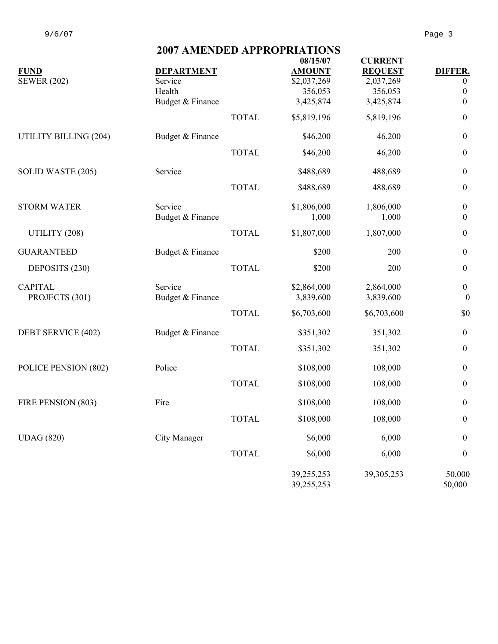|                       | <b>2007 AMENDED APPROPRIATIONS</b> |              |                          |                |                  |  |  |
|-----------------------|------------------------------------|--------------|--------------------------|----------------|------------------|--|--|
|                       |                                    |              | 08/15/07                 | <b>CURRENT</b> |                  |  |  |
| <b>FUND</b>           | <b>DEPARTMENT</b>                  |              | <b>AMOUNT</b>            | <b>REQUEST</b> | DIFFER.          |  |  |
| <b>SEWER (202)</b>    | Service                            |              | \$2,037,269              | 2,037,269      | $\overline{0}$   |  |  |
|                       | Health                             |              | 356,053                  | 356,053        | $\boldsymbol{0}$ |  |  |
|                       | Budget & Finance                   |              | 3,425,874                | 3,425,874      | $\boldsymbol{0}$ |  |  |
|                       |                                    | <b>TOTAL</b> | \$5,819,196              | 5,819,196      | $\boldsymbol{0}$ |  |  |
| UTILITY BILLING (204) | Budget & Finance                   |              | \$46,200                 | 46,200         | $\boldsymbol{0}$ |  |  |
|                       |                                    | <b>TOTAL</b> | \$46,200                 | 46,200         | $\boldsymbol{0}$ |  |  |
| SOLID WASTE (205)     | Service                            |              | \$488,689                | 488,689        | $\boldsymbol{0}$ |  |  |
|                       |                                    | <b>TOTAL</b> | \$488,689                | 488,689        | $\boldsymbol{0}$ |  |  |
| <b>STORM WATER</b>    | Service                            |              | \$1,806,000              | 1,806,000      | $\boldsymbol{0}$ |  |  |
|                       | Budget & Finance                   |              | 1,000                    | 1,000          | $\boldsymbol{0}$ |  |  |
| UTILITY (208)         |                                    | <b>TOTAL</b> | \$1,807,000              | 1,807,000      | $\boldsymbol{0}$ |  |  |
| <b>GUARANTEED</b>     | Budget & Finance                   |              | \$200                    | 200            | $\boldsymbol{0}$ |  |  |
| DEPOSITS (230)        |                                    | <b>TOTAL</b> | \$200                    | 200            | $\boldsymbol{0}$ |  |  |
| <b>CAPITAL</b>        | Service                            |              | \$2,864,000              | 2,864,000      | $\boldsymbol{0}$ |  |  |
| PROJECTS (301)        | Budget & Finance                   |              | 3,839,600                | 3,839,600      | $\boldsymbol{0}$ |  |  |
|                       |                                    | <b>TOTAL</b> | \$6,703,600              | \$6,703,600    | \$0              |  |  |
| DEBT SERVICE (402)    | Budget & Finance                   |              | \$351,302                | 351,302        | $\boldsymbol{0}$ |  |  |
|                       |                                    | <b>TOTAL</b> | \$351,302                | 351,302        | $\boldsymbol{0}$ |  |  |
| POLICE PENSION (802)  | Police                             |              | \$108,000                | 108,000        | $\boldsymbol{0}$ |  |  |
|                       |                                    | <b>TOTAL</b> | \$108,000                | 108,000        | $\boldsymbol{0}$ |  |  |
| FIRE PENSION (803)    | Fire                               |              | \$108,000                | 108,000        | $\boldsymbol{0}$ |  |  |
|                       |                                    | <b>TOTAL</b> | \$108,000                | 108,000        | $\boldsymbol{0}$ |  |  |
| <b>UDAG</b> (820)     | City Manager                       |              | \$6,000                  | 6,000          | $\boldsymbol{0}$ |  |  |
|                       |                                    | <b>TOTAL</b> | \$6,000                  | 6,000          | $\boldsymbol{0}$ |  |  |
|                       |                                    |              | 39,255,253<br>39,255,253 | 39, 305, 253   | 50,000<br>50,000 |  |  |